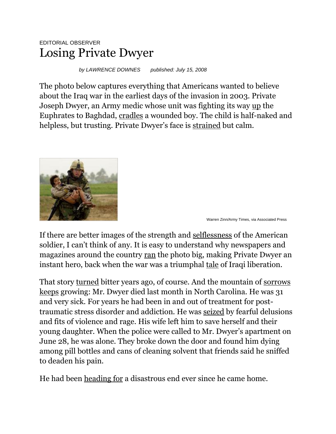## EDITORIAL OBSERVER Losing Private Dwyer

*by LAWRENCE DOWNES published: July 15, 2008*

The photo below captures everything that Americans wanted to believe about the Iraq war in the earliest days of the invasion in 2003. Private Joseph Dwyer, an Army medic whose unit was fighting its way up the Euphrates to Baghdad, cradles a wounded boy. The child is half-naked and helpless, but trusting. Private Dwyer's face is strained but calm.



Warren Zinn/Army Times, via Associated Press

If there are better images of the strength and selflessness of the American soldier, I can't think of any. It is easy to understand why newspapers and magazines around the country ran the photo big, making Private Dwyer an instant hero, back when the war was a triumphal tale of Iraqi liberation.

That story turned bitter years ago, of course. And the mountain of sorrows keeps growing: Mr. Dwyer died last month in North Carolina. He was 31 and very sick. For years he had been in and out of treatment for posttraumatic stress disorder and addiction. He was seized by fearful delusions and fits of violence and rage. His wife left him to save herself and their young daughter. When the police were called to Mr. Dwyer's apartment on June 28, he was alone. They broke down the door and found him dying among pill bottles and cans of cleaning solvent that friends said he sniffed to deaden his pain.

He had been heading for a disastrous end ever since he came home.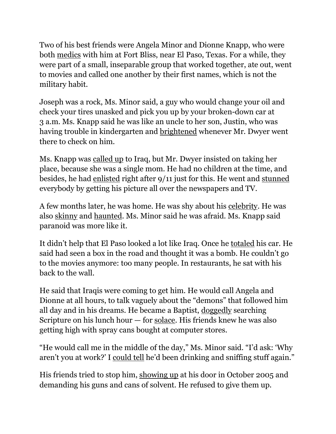Two of his best friends were Angela Minor and Dionne Knapp, who were both medics with him at Fort Bliss, near El Paso, Texas. For a while, they were part of a small, inseparable group that worked together, ate out, went to movies and called one another by their first names, which is not the military habit.

Joseph was a rock, Ms. Minor said, a guy who would change your oil and check your tires unasked and pick you up by your broken-down car at 3 a.m. Ms. Knapp said he was like an uncle to her son, Justin, who was having trouble in kindergarten and **brightened** whenever Mr. Dwyer went there to check on him.

Ms. Knapp was called up to Iraq, but Mr. Dwyer insisted on taking her place, because she was a single mom. He had no children at the time, and besides, he had enlisted right after 9/11 just for this. He went and stunned everybody by getting his picture all over the newspapers and TV.

A few months later, he was home. He was shy about his celebrity. He was also skinny and haunted. Ms. Minor said he was afraid. Ms. Knapp said paranoid was more like it.

It didn't help that El Paso looked a lot like Iraq. Once he totaled his car. He said had seen a box in the road and thought it was a bomb. He couldn't go to the movies anymore: too many people. In restaurants, he sat with his back to the wall.

He said that Iraqis were coming to get him. He would call Angela and Dionne at all hours, to talk vaguely about the "demons" that followed him all day and in his dreams. He became a Baptist, doggedly searching Scripture on his lunch hour — for solace. His friends knew he was also getting high with spray cans bought at computer stores.

"He would call me in the middle of the day," Ms. Minor said. "I'd ask: 'Why aren't you at work?' I could tell he'd been drinking and sniffing stuff again."

His friends tried to stop him, showing up at his door in October 2005 and demanding his guns and cans of solvent. He refused to give them up.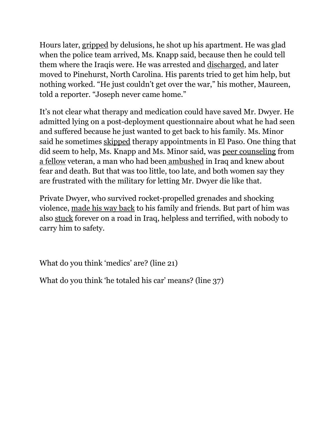Hours later, gripped by delusions, he shot up his apartment. He was glad when the police team arrived, Ms. Knapp said, because then he could tell them where the Iraqis were. He was arrested and discharged, and later moved to Pinehurst, North Carolina. His parents tried to get him help, but nothing worked. "He just couldn't get over the war," his mother, Maureen, told a reporter. "Joseph never came home."

It's not clear what therapy and medication could have saved Mr. Dwyer. He admitted lying on a post-deployment questionnaire about what he had seen and suffered because he just wanted to get back to his family. Ms. Minor said he sometimes skipped therapy appointments in El Paso. One thing that did seem to help, Ms. Knapp and Ms. Minor said, was peer counseling from a fellow veteran, a man who had been ambushed in Iraq and knew about fear and death. But that was too little, too late, and both women say they are frustrated with the military for letting Mr. Dwyer die like that.

Private Dwyer, who survived rocket-propelled grenades and shocking violence, made his way back to his family and friends. But part of him was also stuck forever on a road in Iraq, helpless and terrified, with nobody to carry him to safety.

What do you think 'medics' are? (line 21)

What do you think 'he totaled his car' means? (line 37)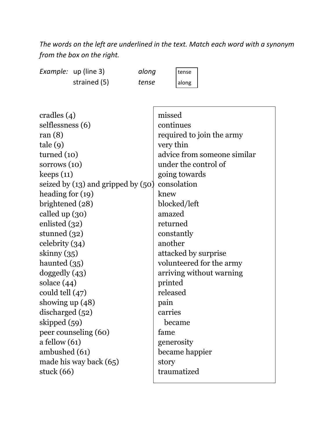*The words on the left are underlined in the text. Match each word with a synonym from the box on the right.*

*Example:* up (line 3) *along* **tense** 

strained (5) **tense** along

| cradles $(4)$                          | missed                      |
|----------------------------------------|-----------------------------|
| selflessness (6)                       | continues                   |
| ran $(8)$                              | required to join the army   |
| tale(9)                                | very thin                   |
| turned $(10)$                          | advice from someone similar |
| sorrows $(10)$                         | under the control of        |
| keeps(11)                              | going towards               |
| seized by $(13)$ and gripped by $(50)$ | consolation                 |
| heading for $(19)$                     | knew                        |
| brightened (28)                        | blocked/left                |
| called up (30)                         | amazed                      |
| enlisted $(32)$                        | returned                    |
| stunned $(32)$                         | constantly                  |
| celebrity (34)                         | another                     |
| $\operatorname{skinny}(35)$            | attacked by surprise        |
| haunted $(35)$                         | volunteered for the army    |
| $\log$ gedly $(43)$                    | arriving without warning    |
| solace $(44)$                          | printed                     |
| could tell (47)                        | released                    |
| showing up $(48)$                      | pain                        |
| discharged (52)                        | carries                     |
| skipped (59)                           | became                      |
| peer counseling (60)                   | fame                        |
| a fellow $(61)$                        | generosity                  |
| ambushed (61)                          | became happier              |
| made his way back (65)                 | story                       |
| stuck $(66)$                           | traumatized                 |
|                                        |                             |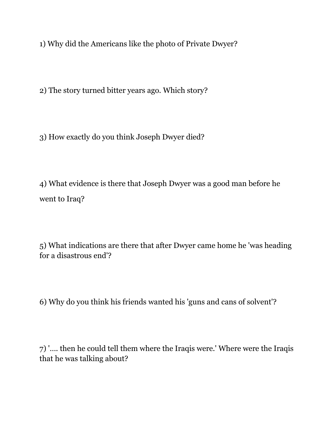1) Why did the Americans like the photo of Private Dwyer?

2) The story turned bitter years ago. Which story?

3) How exactly do you think Joseph Dwyer died?

4) What evidence is there that Joseph Dwyer was a good man before he went to Iraq?

5) What indications are there that after Dwyer came home he 'was heading for a disastrous end'?

6) Why do you think his friends wanted his 'guns and cans of solvent'?

7) '…. then he could tell them where the Iraqis were.' Where were the Iraqis that he was talking about?